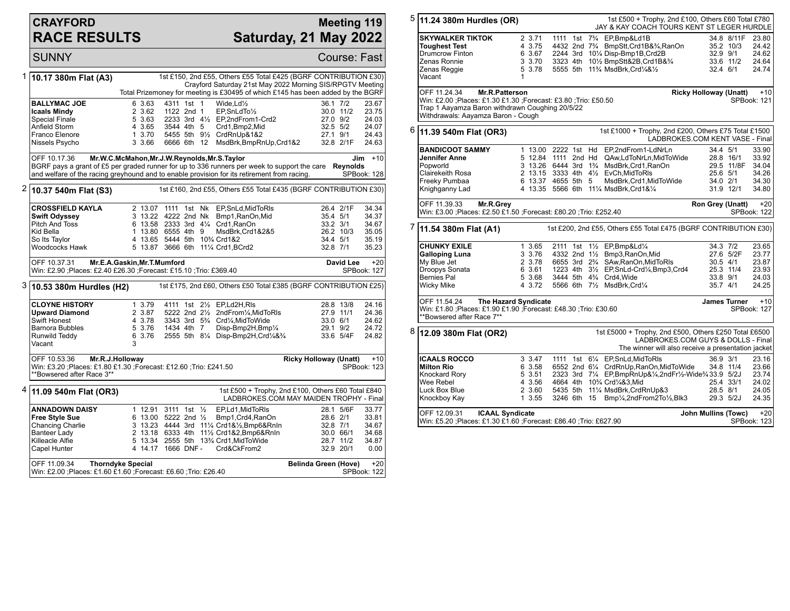## **CRAYFORD RACE RESULTS**

## **Meeting 119 Saturday, 21 May 2022**

**SUNNY** Course: Fast

|                                                                  | 1 10.17 380m Flat (A3)                                                                                                                                                       |                             |                                            | 1st £150, 2nd £55, Others £55 Total £425 (BGRF CONTRIBUTION £30)<br>Crayford Saturday 21st May 2022 Morning SIS/RPGTV Meeting |          |                                          |  |  |  |  |
|------------------------------------------------------------------|------------------------------------------------------------------------------------------------------------------------------------------------------------------------------|-----------------------------|--------------------------------------------|-------------------------------------------------------------------------------------------------------------------------------|----------|------------------------------------------|--|--|--|--|
|                                                                  |                                                                                                                                                                              |                             |                                            | Total Prizemoney for meeting is £30495 of which £145 has been added by the BGRF                                               |          |                                          |  |  |  |  |
|                                                                  | <b>BALLYMAC JOE</b>                                                                                                                                                          | 6 3.63<br>2 3.62            | 4311 1st 1<br>1122 2nd 1                   | Wide.Ld $\frac{1}{2}$<br>$EP.SnLdTo\frac{1}{2}$                                                                               | 36.1 7/2 | 23.67<br>30.0 11/2<br>23.75              |  |  |  |  |
|                                                                  | <b>Icaals Mindy</b>                                                                                                                                                          |                             |                                            |                                                                                                                               |          |                                          |  |  |  |  |
|                                                                  | <b>Special Finale</b>                                                                                                                                                        | 5 3.63                      |                                            | 2233 3rd 41/2 EP, 2nd From 1-Crd 2                                                                                            | 27.0 9/2 | 24.03                                    |  |  |  |  |
|                                                                  | Anfield Storm                                                                                                                                                                | 4 3.65                      | 3544 4th 5                                 | Crd1, Bmp2, Mid                                                                                                               | 32.5 5/2 | 24.07                                    |  |  |  |  |
|                                                                  | Franco Elenore                                                                                                                                                               | 1 3.70                      |                                            | 5455 5th 91/2 CrdRnUp&1&2                                                                                                     | 27.1 9/1 | 24.43                                    |  |  |  |  |
|                                                                  | Nissels Psycho                                                                                                                                                               | 3 3.66                      | 6666 6th 12                                | MsdBrk, BmpRnUp, Crd1&2                                                                                                       |          | 32.8 2/1F<br>24.63                       |  |  |  |  |
|                                                                  | OFF 10.17.36<br>Mr.W.C.McMahon, Mr.J.W.Reynolds, Mr.S.Taylor<br>$+10$<br>Jim<br>BGRF pays a grant of £5 per graded runner for up to 336 runners per week to support the care |                             |                                            |                                                                                                                               |          |                                          |  |  |  |  |
|                                                                  |                                                                                                                                                                              |                             |                                            |                                                                                                                               |          | <b>Reynolds</b><br>SPBook: 128           |  |  |  |  |
|                                                                  | and welfare of the racing greyhound and to enable provision for its retirement from racing.                                                                                  |                             |                                            |                                                                                                                               |          |                                          |  |  |  |  |
| 2                                                                | 10.37 540m Flat (S3)                                                                                                                                                         |                             |                                            | 1st £160, 2nd £55, Others £55 Total £435 (BGRF CONTRIBUTION £30)                                                              |          |                                          |  |  |  |  |
|                                                                  | <b>CROSSFIELD KAYLA</b>                                                                                                                                                      |                             |                                            | 2 13.07 1111 1st Nk EP, SnLd, MidToRIs                                                                                        |          | 26.4 2/1F<br>34.34                       |  |  |  |  |
|                                                                  | <b>Swift Odyssey</b>                                                                                                                                                         |                             | 3 13.22 4222 2nd Nk                        | Bmp1, RanOn, Mid                                                                                                              | 35.4 5/1 | 34.37                                    |  |  |  |  |
|                                                                  | Pitch And Toss                                                                                                                                                               |                             | 6 13.58 2333 3rd 41/4 Crd1, RanOn          |                                                                                                                               | 33.2 3/1 | 34.67                                    |  |  |  |  |
|                                                                  | Kid Bella                                                                                                                                                                    |                             | 1 13.80 6555 4th 9                         | MsdBrk,Crd1&2&5                                                                                                               |          | 26.2 10/3<br>35.05                       |  |  |  |  |
|                                                                  | So Its Taylor                                                                                                                                                                |                             | 4 13.65 5444 5th 10 <sup>3</sup> /4 Crd1&2 |                                                                                                                               | 34.4 5/1 | 35.19                                    |  |  |  |  |
|                                                                  | Woodcocks Hawk                                                                                                                                                               |                             | 5 13.87 3666 6th 111/4 Crd1, BCrd2         |                                                                                                                               | 32.8 7/1 | 35.23                                    |  |  |  |  |
|                                                                  |                                                                                                                                                                              |                             |                                            |                                                                                                                               |          |                                          |  |  |  |  |
|                                                                  | OFF 10.37.31<br>Win: £2.90 ;Places: £2.40 £26.30 ;Forecast: £15.10 ;Trio: £369.40                                                                                            | Mr.E.A.Gaskin, Mr.T.Mumford |                                            |                                                                                                                               |          | <b>David Lee</b><br>$+20$<br>SPBook: 127 |  |  |  |  |
|                                                                  | 1st £175, 2nd £60, Others £50 Total £385 (BGRF CONTRIBUTION £25)<br>3  10.53 380m Hurdles (H2)                                                                               |                             |                                            |                                                                                                                               |          |                                          |  |  |  |  |
|                                                                  | <b>CLOYNE HISTORY</b>                                                                                                                                                        | 1 3.79                      | 4111 1st 21/2 EP,Ld2H,RIs                  |                                                                                                                               |          | 24.16<br>28.8 13/8                       |  |  |  |  |
|                                                                  | <b>Upward Diamond</b>                                                                                                                                                        | 2 3.87                      |                                            | 5222 2nd 21/2 2ndFrom1/4, MidToRIs                                                                                            |          | 27.9 11/1<br>24.36                       |  |  |  |  |
|                                                                  | Swift Honest                                                                                                                                                                 | 4 3.78                      |                                            | 3343 3rd 5 <sup>3</sup> / <sub>4</sub> Crd <sup>1</sup> / <sub>4</sub> , MidToWide                                            | 33.0 6/1 | 24.62                                    |  |  |  |  |
|                                                                  | <b>Barnora Bubbles</b>                                                                                                                                                       | 5 3.76                      | 1434 4th 7                                 | Disp-Bmp2H, Bmp1/4                                                                                                            | 29.1 9/2 | 24.72                                    |  |  |  |  |
|                                                                  | Runwild Teddy                                                                                                                                                                | 6 3.76                      |                                            | 2555 5th 81/4 Disp-Bmp2H, Crd1/4&3/4                                                                                          |          | 33.6 5/4F<br>24.82                       |  |  |  |  |
|                                                                  | Vacant                                                                                                                                                                       | 3                           |                                            |                                                                                                                               |          |                                          |  |  |  |  |
| <b>Ricky Holloway (Unatt)</b><br>OFF 10.53.36<br>Mr.R.J.Holloway |                                                                                                                                                                              |                             |                                            |                                                                                                                               |          |                                          |  |  |  |  |
|                                                                  |                                                                                                                                                                              |                             |                                            |                                                                                                                               |          |                                          |  |  |  |  |
|                                                                  | Win: £3.20 ;Places: £1.80 £1.30 ;Forecast: £12.60 ;Trio: £241.50                                                                                                             |                             |                                            |                                                                                                                               |          | <b>SPBook: 123</b>                       |  |  |  |  |
|                                                                  | **Bowsered after Race 3**                                                                                                                                                    |                             |                                            |                                                                                                                               |          |                                          |  |  |  |  |
| 4                                                                | 11.09 540m Flat (OR3)                                                                                                                                                        |                             |                                            | 1st £500 + Trophy, 2nd £100, Others £60 Total £840                                                                            |          |                                          |  |  |  |  |
|                                                                  |                                                                                                                                                                              |                             |                                            | LADBROKES.COM MAY MAIDEN TROPHY - Final                                                                                       |          |                                          |  |  |  |  |
|                                                                  | <b>ANNADOWN DAISY</b>                                                                                                                                                        |                             | 1 12.91 3111 1st 1/ <sub>2</sub>           | EP.Ld1.MidToRIs                                                                                                               |          | 33.77<br>28.1 5/6F                       |  |  |  |  |
|                                                                  | <b>Free Style Sue</b>                                                                                                                                                        |                             | 6 13.00 5222 2nd $\frac{1}{2}$             | Bmp1, Crd4, RanOn                                                                                                             | 28.6 2/1 | 33.81                                    |  |  |  |  |
|                                                                  | Chancing Charlie                                                                                                                                                             |                             |                                            | 3 13.23 4444 3rd 111/4 Crd1&1/2, Bmp6&RnIn                                                                                    | 32.8 7/1 | 34.67                                    |  |  |  |  |
|                                                                  | Banteer Lady                                                                                                                                                                 |                             |                                            | 2 13.18 6333 4th 111/2 Crd1&2, Bmp6&RnIn                                                                                      |          | 30.0 66/1<br>34.68                       |  |  |  |  |
|                                                                  | Killeacle Alfie                                                                                                                                                              |                             |                                            | 5 13.34 2555 5th 133/4 Crd1, MidTo Wide                                                                                       |          | 28.7 11/2<br>34.87                       |  |  |  |  |
|                                                                  | Capel Hunter                                                                                                                                                                 |                             | 4 14.17 1666 DNF-                          | Crd&CkFrom2                                                                                                                   |          | 32.9 20/1<br>0.00                        |  |  |  |  |

| 5                                                                                                                                                                               | 11.24 380m Hurdles (OR)                                                                                                                                                                                                           |                                                                                             |          |  |    | 1st £500 + Trophy, 2nd £100, Others £60 Total £780<br>JAY & KAY COACH TOURS KENT ST LEGER HURDLE                                                                                                                                                                  |                                                |                                      |                                                    |  |
|---------------------------------------------------------------------------------------------------------------------------------------------------------------------------------|-----------------------------------------------------------------------------------------------------------------------------------------------------------------------------------------------------------------------------------|---------------------------------------------------------------------------------------------|----------|--|----|-------------------------------------------------------------------------------------------------------------------------------------------------------------------------------------------------------------------------------------------------------------------|------------------------------------------------|--------------------------------------|----------------------------------------------------|--|
|                                                                                                                                                                                 | <b>SKYWALKER TIKTOK</b><br><b>Toughest Test</b><br>Drumcrow Finton<br>Zenas Ronnie<br>Zenas Reggie<br>Vacant                                                                                                                      | 2 3.71<br>4 3.75<br>6 3.67<br>3 3.70<br>5 3.78<br>1                                         |          |  |    | 1111 1st 7 <sup>3</sup> / <sub>4</sub> EP, Bmp&Ld1B<br>4432 2nd 7 <sup>3</sup> / <sub>4</sub> BmpStt, Crd1B&3/ <sub>4</sub> , RanOn<br>2244 3rd 101/4 Disp-Bmp1B, Crd2B<br>3323 4th 101/2 BmpStt&2B, Crd1B&3/4<br>5555 5th 11% MsdBrk, Crd1/4&1/2                 | 32.9 9/1<br>32.4 6/1                           | 34.8 8/11F<br>35.2 10/3<br>33.6 11/2 | 23.80<br>24.42<br>24.62<br>24.64<br>24.74          |  |
|                                                                                                                                                                                 | OFF 11.24.34<br><b>Ricky Holloway (Unatt)</b><br><b>Mr.R.Patterson</b><br>Win: £2.00 ;Places: £1.30 £1.30 ;Forecast: £3.80 ;Trio: £50.50<br>Trap 1 Aayamza Baron withdrawn Coughing 20/5/22<br>Withdrawals: Aayamza Baron - Cough |                                                                                             |          |  |    |                                                                                                                                                                                                                                                                   |                                                |                                      | $+10$<br>SPBook: 121                               |  |
| 6                                                                                                                                                                               | 11.39 540m Flat (OR3)                                                                                                                                                                                                             |                                                                                             |          |  |    | 1st £1000 + Trophy, 2nd £200, Others £75 Total £1500<br>LADBROKES.COM KENT VASE - Final                                                                                                                                                                           |                                                |                                      |                                                    |  |
|                                                                                                                                                                                 | <b>BANDICOOT SAMMY</b><br>Jennifer Anne<br>Popworld<br>Clairekeith Rosa<br>Freeky Pumbaa<br>Knighganny Lad                                                                                                                        | 5 12.84 1111 2nd Hd<br>3 13.26 6444 3rd 1 <sup>3</sup> / <sub>4</sub><br>6 13.37 4655 5th 5 |          |  |    | 1 13.00 2222 1st Hd EP,2ndFrom1-LdNrLn<br>QAw,LdToNrLn,MidToWide<br>MsdBrk,Crd1,RanOn<br>2 13.15 3333 4th 41/2 EvCh, MidToRIs<br>MsdBrk,Crd1,MidToWide<br>4 13.35 5566 6th 111/4 MsdBrk, Crd1&1/4                                                                 | 34.4 5/1<br>25.6 5/1<br>34.0 2/1               | 28.8 16/1<br>29.5 11/8F<br>31.9 12/1 | 33.90<br>33.92<br>34.04<br>34.26<br>34.30<br>34.80 |  |
|                                                                                                                                                                                 | OFF 11.39.33<br>Mr.R.Grey<br>Win: £3.00 ;Places: £2.50 £1.50 ;Forecast: £80.20 ;Trio: £252.40                                                                                                                                     |                                                                                             |          |  |    |                                                                                                                                                                                                                                                                   | Ron Grey (Unatt)                               |                                      | $+20$<br>SPBook: 122                               |  |
| 7<br>1st £200, 2nd £55, Others £55 Total £475 (BGRF CONTRIBUTION £30)<br>11.54 380m Flat (A1)                                                                                   |                                                                                                                                                                                                                                   |                                                                                             |          |  |    |                                                                                                                                                                                                                                                                   |                                                |                                      |                                                    |  |
|                                                                                                                                                                                 | <b>CHUNKY EXILE</b><br><b>Galloping Luna</b><br>My Blue Jet<br>Droopys Sonata<br><b>Bernies Pal</b><br>Wicky Mike                                                                                                                 | 1 3.65<br>3 3.76<br>2 3.78<br>6 3.61<br>5 3.68<br>4 3.72                                    |          |  |    | 2111 1st 11/2 EP, Bmp&Ld1/4<br>4332 2nd 11/2 Bmp3, RanOn, Mid<br>6655 3rd 2 <sup>3</sup> / <sub>4</sub> SAw, RanOn, MidToRIs<br>1223 4th 31/2 EP, SnLd-Crd1/4, Bmp3, Crd4<br>3444 5th 4 <sup>3</sup> / <sub>4</sub> Crd4, Wide<br>5566 6th 71/2 MsdBrk, Crd1/4    | 34.3 7/2<br>$30.5$ 4/1<br>33.8 9/1<br>35.7 4/1 | 27.6 5/2F<br>25.3 11/4               | 23.65<br>23.77<br>23.87<br>23.93<br>24.03<br>24.25 |  |
| The Hazard Syndicate<br><b>James Turner</b><br>OFF 11.54.24<br>Win: £1.80 ;Places: £1.90 £1.90 ;Forecast: £48.30 ;Trio: £30.60<br>**Bowsered after Race 7**                     |                                                                                                                                                                                                                                   |                                                                                             |          |  |    |                                                                                                                                                                                                                                                                   |                                                |                                      | $+10$<br>SPBook: 127                               |  |
| 8<br>1st £5000 + Trophy, 2nd £500, Others £250 Total £6500<br>12.09 380m Flat (OR2)<br>LADBROKES.COM GUYS & DOLLS - Final<br>The winner will also receive a presentation jacket |                                                                                                                                                                                                                                   |                                                                                             |          |  |    |                                                                                                                                                                                                                                                                   |                                                |                                      |                                                    |  |
|                                                                                                                                                                                 | <b>ICAALS ROCCO</b><br><b>Milton Rio</b><br>Knockard Rory<br>Wee Rebel<br>Luck Box Blue<br>Knockboy Kay                                                                                                                           | 3 3.47<br>6 3.58<br>5 3.51<br>4 3.56<br>2 3.60<br>1 3.55                                    | 3246 6th |  | 15 | 1111 1st 61/4 EP, SnLd, MidToRIs<br>6552 2nd 61/4 CrdRnUp, RanOn, MidToWide<br>2323 3rd 71/4 EP, BmpRnUp&1/4, 2nd Fr1/2-Wide3/4 33.9 5/2J<br>4664 4th 10% Crd1/4&3.Mid<br>5435 5th 111/4 MsdBrk, CrdRnUp&3<br>Bmp1/ <sub>4</sub> ,2ndFrom2To1/ <sub>2</sub> ,Blk3 | 36.9 3/1<br>28.5 8/1                           | 34.8 11/4<br>25.4 33/1<br>29.3 5/2J  | 23.16<br>23.66<br>23.74<br>24.02<br>24.05<br>24.35 |  |

| OFF 12.09.31 | ICAAL Syndicate                                                  | John Mullins (Towc) +20 |  |
|--------------|------------------------------------------------------------------|-------------------------|--|
|              | Win: £5.20 ;Places: £1.30 £1.60 ;Forecast: £86.40 ;Trio: £627.90 | SPBook: 123             |  |